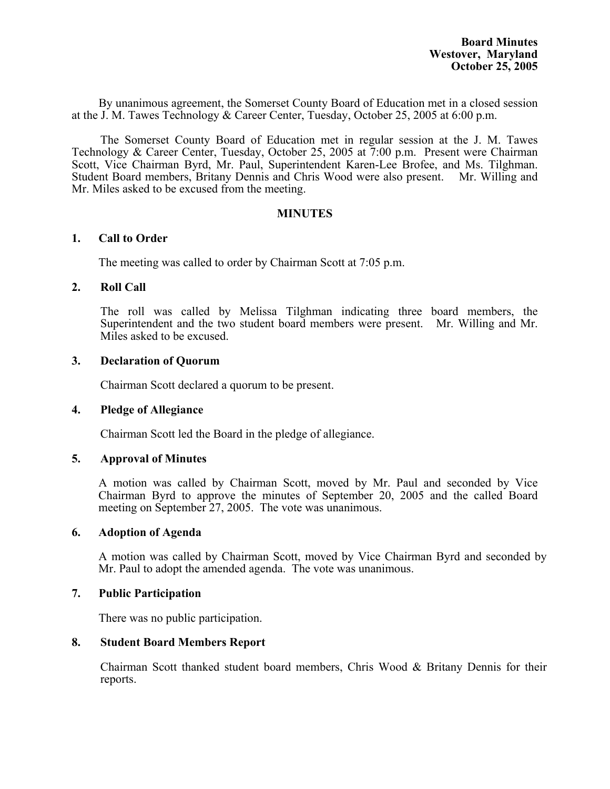By unanimous agreement, the Somerset County Board of Education met in a closed session at the J. M. Tawes Technology & Career Center, Tuesday, October 25, 2005 at 6:00 p.m.

The Somerset County Board of Education met in regular session at the J. M. Tawes Technology & Career Center, Tuesday, October 25, 2005 at 7:00 p.m. Present were Chairman Scott, Vice Chairman Byrd, Mr. Paul, Superintendent Karen-Lee Brofee, and Ms. Tilghman. Student Board members, Britany Dennis and Chris Wood were also present. Mr. Willing and Mr. Miles asked to be excused from the meeting.

### **MINUTES**

### **1. Call to Order**

The meeting was called to order by Chairman Scott at 7:05 p.m.

### **2. Roll Call**

The roll was called by Melissa Tilghman indicating three board members, the Superintendent and the two student board members were present. Mr. Willing and Mr. Miles asked to be excused.

### **3. Declaration of Quorum**

Chairman Scott declared a quorum to be present.

### **4. Pledge of Allegiance**

Chairman Scott led the Board in the pledge of allegiance.

### **5. Approval of Minutes**

 A motion was called by Chairman Scott, moved by Mr. Paul and seconded by Vice Chairman Byrd to approve the minutes of September 20, 2005 and the called Board meeting on September 27, 2005. The vote was unanimous.

### **6. Adoption of Agenda**

A motion was called by Chairman Scott, moved by Vice Chairman Byrd and seconded by Mr. Paul to adopt the amended agenda. The vote was unanimous.

### **7. Public Participation**

There was no public participation.

### **8. Student Board Members Report**

Chairman Scott thanked student board members, Chris Wood & Britany Dennis for their reports.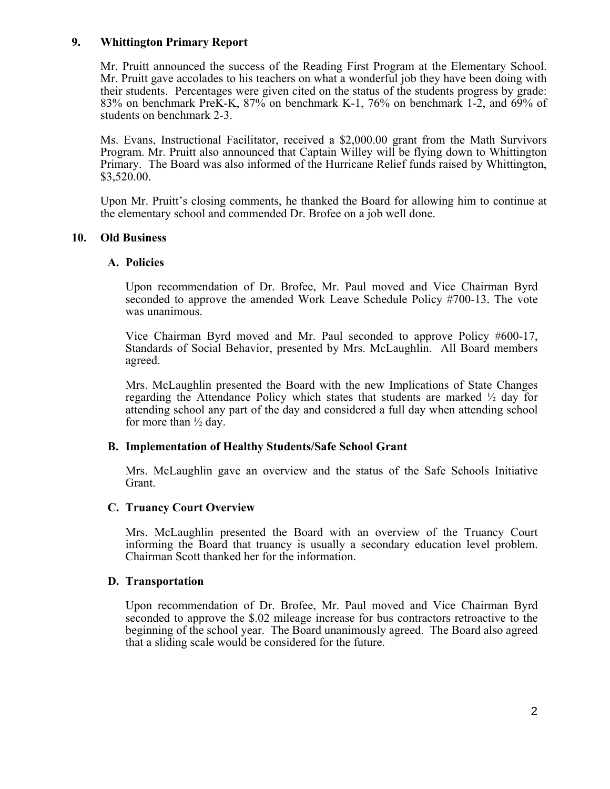## **9. Whittington Primary Report**

Mr. Pruitt announced the success of the Reading First Program at the Elementary School. Mr. Pruitt gave accolades to his teachers on what a wonderful job they have been doing with their students. Percentages were given cited on the status of the students progress by grade: 83% on benchmark PreK-K, 87% on benchmark K-1, 76% on benchmark 1-2, and 69% of students on benchmark 2-3.

Ms. Evans, Instructional Facilitator, received a \$2,000.00 grant from the Math Survivors Program. Mr. Pruitt also announced that Captain Willey will be flying down to Whittington Primary. The Board was also informed of the Hurricane Relief funds raised by Whittington, \$3,520.00.

Upon Mr. Pruitt's closing comments, he thanked the Board for allowing him to continue at the elementary school and commended Dr. Brofee on a job well done.

### **10. Old Business**

### **A. Policies**

Upon recommendation of Dr. Brofee, Mr. Paul moved and Vice Chairman Byrd seconded to approve the amended Work Leave Schedule Policy #700-13. The vote was unanimous.

Vice Chairman Byrd moved and Mr. Paul seconded to approve Policy #600-17, Standards of Social Behavior, presented by Mrs. McLaughlin. All Board members agreed.

Mrs. McLaughlin presented the Board with the new Implications of State Changes regarding the Attendance Policy which states that students are marked  $\frac{1}{2}$  day for attending school any part of the day and considered a full day when attending school for more than  $\frac{1}{2}$  day.

## **B. Implementation of Healthy Students/Safe School Grant**

Mrs. McLaughlin gave an overview and the status of the Safe Schools Initiative Grant.

### **C. Truancy Court Overview**

Mrs. McLaughlin presented the Board with an overview of the Truancy Court informing the Board that truancy is usually a secondary education level problem. Chairman Scott thanked her for the information.

### **D. Transportation**

 Upon recommendation of Dr. Brofee, Mr. Paul moved and Vice Chairman Byrd seconded to approve the \$.02 mileage increase for bus contractors retroactive to the beginning of the school year. The Board unanimously agreed. The Board also agreed that a sliding scale would be considered for the future.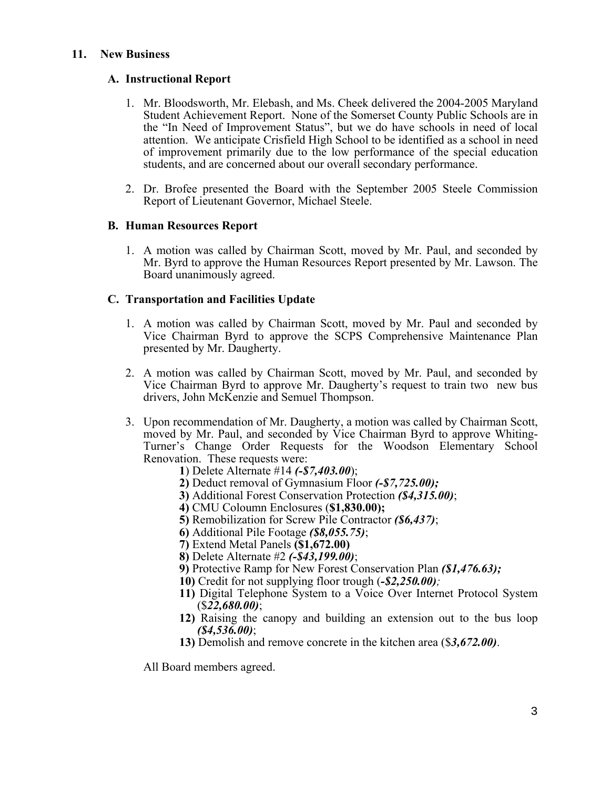## **11. New Business**

# **A. Instructional Report**

- 1. Mr. Bloodsworth, Mr. Elebash, and Ms. Cheek delivered the 2004-2005 Maryland Student Achievement Report. None of the Somerset County Public Schools are in the "In Need of Improvement Status", but we do have schools in need of local attention. We anticipate Crisfield High School to be identified as a school in need of improvement primarily due to the low performance of the special education students, and are concerned about our overall secondary performance.
- 2. Dr. Brofee presented the Board with the September 2005 Steele Commission Report of Lieutenant Governor, Michael Steele.

# **B. Human Resources Report**

1. A motion was called by Chairman Scott, moved by Mr. Paul, and seconded by Mr. Byrd to approve the Human Resources Report presented by Mr. Lawson. The Board unanimously agreed.

# **C. Transportation and Facilities Update**

- 1. A motion was called by Chairman Scott, moved by Mr. Paul and seconded by Vice Chairman Byrd to approve the SCPS Comprehensive Maintenance Plan presented by Mr. Daugherty.
- 2. A motion was called by Chairman Scott, moved by Mr. Paul, and seconded by Vice Chairman Byrd to approve Mr. Daugherty's request to train two new bus drivers, John McKenzie and Semuel Thompson.
- 3. Upon recommendation of Mr. Daugherty, a motion was called by Chairman Scott, moved by Mr. Paul, and seconded by Vice Chairman Byrd to approve Whiting-Turner's Change Order Requests for the Woodson Elementary School Renovation. These requests were:
	- **1**) Delete Alternate #14 *(-\$7,403.00*);
	- **2)** Deduct removal of Gymnasium Floor *(-\$7,725.00);*
	- **3)** Additional Forest Conservation Protection *(\$4,315.00)*;
	- **4)** CMU Coloumn Enclosures (**\$1,830.00);**
	- **5)** Remobilization for Screw Pile Contractor *(\$6,437)*;
	- **6)** Additional Pile Footage *(\$8,055.75)*;
	- **7)** Extend Metal Panels **(\$1,672.00)**
	- **8)** Delete Alternate #2 *(-\$43,199.00)*;
	- **9)** Protective Ramp for New Forest Conservation Plan *(\$1,476.63);*
	- **10)** Credit for not supplying floor trough (*-\$2,250.00);*
	- **11)** Digital Telephone System to a Voice Over Internet Protocol System (\$*22,680.00)*;
	- **12)** Raising the canopy and building an extension out to the bus loop *(\$4,536.00)*;
	- **13)** Demolish and remove concrete in the kitchen area (\$*3,672.00)*.

All Board members agreed.